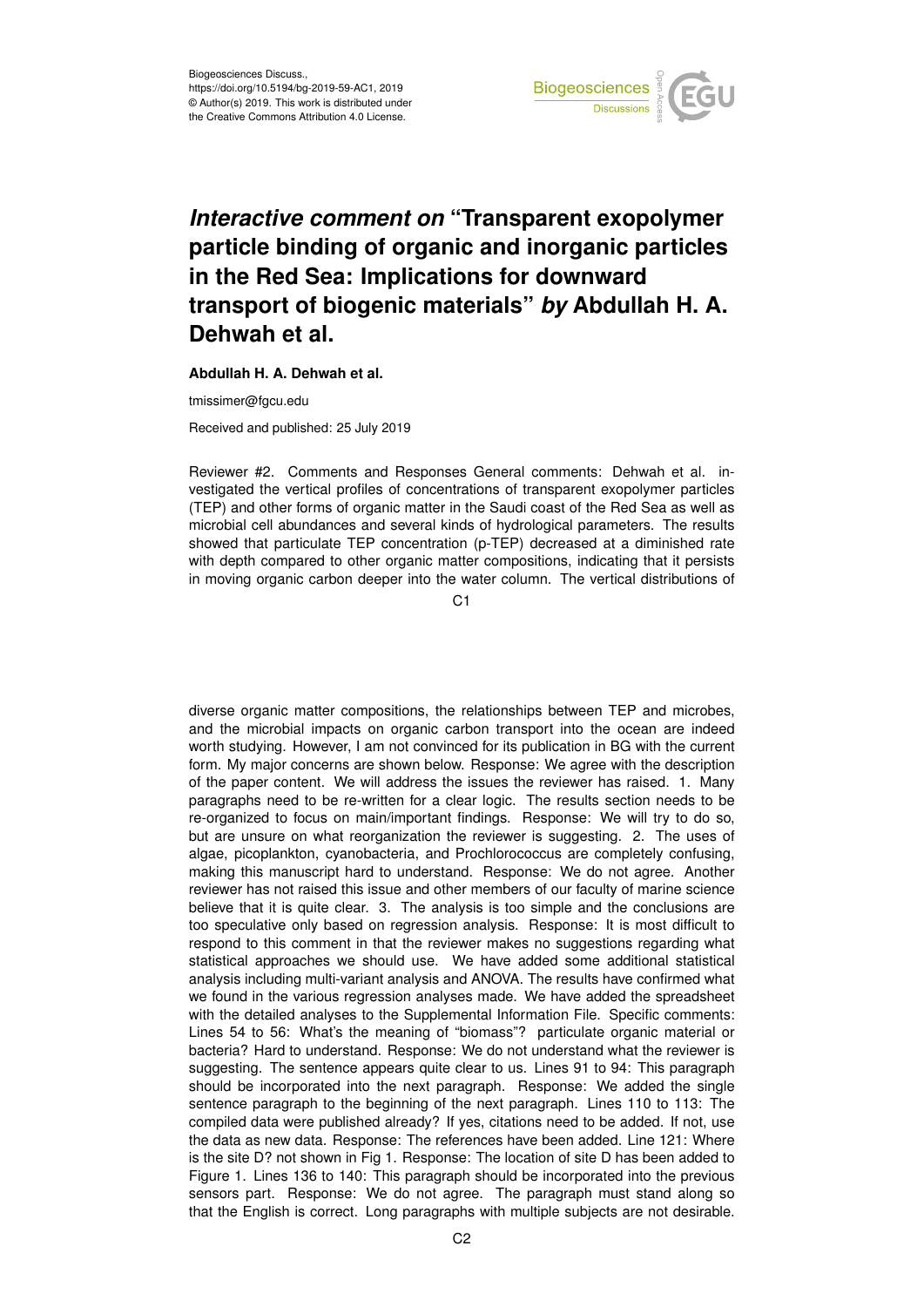

## *Interactive comment on* **"Transparent exopolymer particle binding of organic and inorganic particles in the Red Sea: Implications for downward transport of biogenic materials"** *by* **Abdullah H. A. Dehwah et al.**

**Abdullah H. A. Dehwah et al.**

tmissimer@fgcu.edu

Received and published: 25 July 2019

Reviewer #2. Comments and Responses General comments: Dehwah et al. investigated the vertical profiles of concentrations of transparent exopolymer particles (TEP) and other forms of organic matter in the Saudi coast of the Red Sea as well as microbial cell abundances and several kinds of hydrological parameters. The results showed that particulate TEP concentration (p-TEP) decreased at a diminished rate with depth compared to other organic matter compositions, indicating that it persists in moving organic carbon deeper into the water column. The vertical distributions of

 $C<sub>1</sub>$ 

diverse organic matter compositions, the relationships between TEP and microbes, and the microbial impacts on organic carbon transport into the ocean are indeed worth studying. However, I am not convinced for its publication in BG with the current form. My major concerns are shown below. Response: We agree with the description of the paper content. We will address the issues the reviewer has raised. 1. Many paragraphs need to be re-written for a clear logic. The results section needs to be re-organized to focus on main/important findings. Response: We will try to do so, but are unsure on what reorganization the reviewer is suggesting. 2. The uses of algae, picoplankton, cyanobacteria, and Prochlorococcus are completely confusing, making this manuscript hard to understand. Response: We do not agree. Another reviewer has not raised this issue and other members of our faculty of marine science believe that it is quite clear. 3. The analysis is too simple and the conclusions are too speculative only based on regression analysis. Response: It is most difficult to respond to this comment in that the reviewer makes no suggestions regarding what statistical approaches we should use. We have added some additional statistical analysis including multi-variant analysis and ANOVA. The results have confirmed what we found in the various regression analyses made. We have added the spreadsheet with the detailed analyses to the Supplemental Information File. Specific comments: Lines 54 to 56: What's the meaning of "biomass"? particulate organic material or bacteria? Hard to understand. Response: We do not understand what the reviewer is suggesting. The sentence appears quite clear to us. Lines 91 to 94: This paragraph should be incorporated into the next paragraph. Response: We added the single sentence paragraph to the beginning of the next paragraph. Lines 110 to 113: The compiled data were published already? If yes, citations need to be added. If not, use the data as new data. Response: The references have been added. Line 121: Where is the site D? not shown in Fig 1. Response: The location of site D has been added to Figure 1. Lines 136 to 140: This paragraph should be incorporated into the previous sensors part. Response: We do not agree. The paragraph must stand along so that the English is correct. Long paragraphs with multiple subjects are not desirable.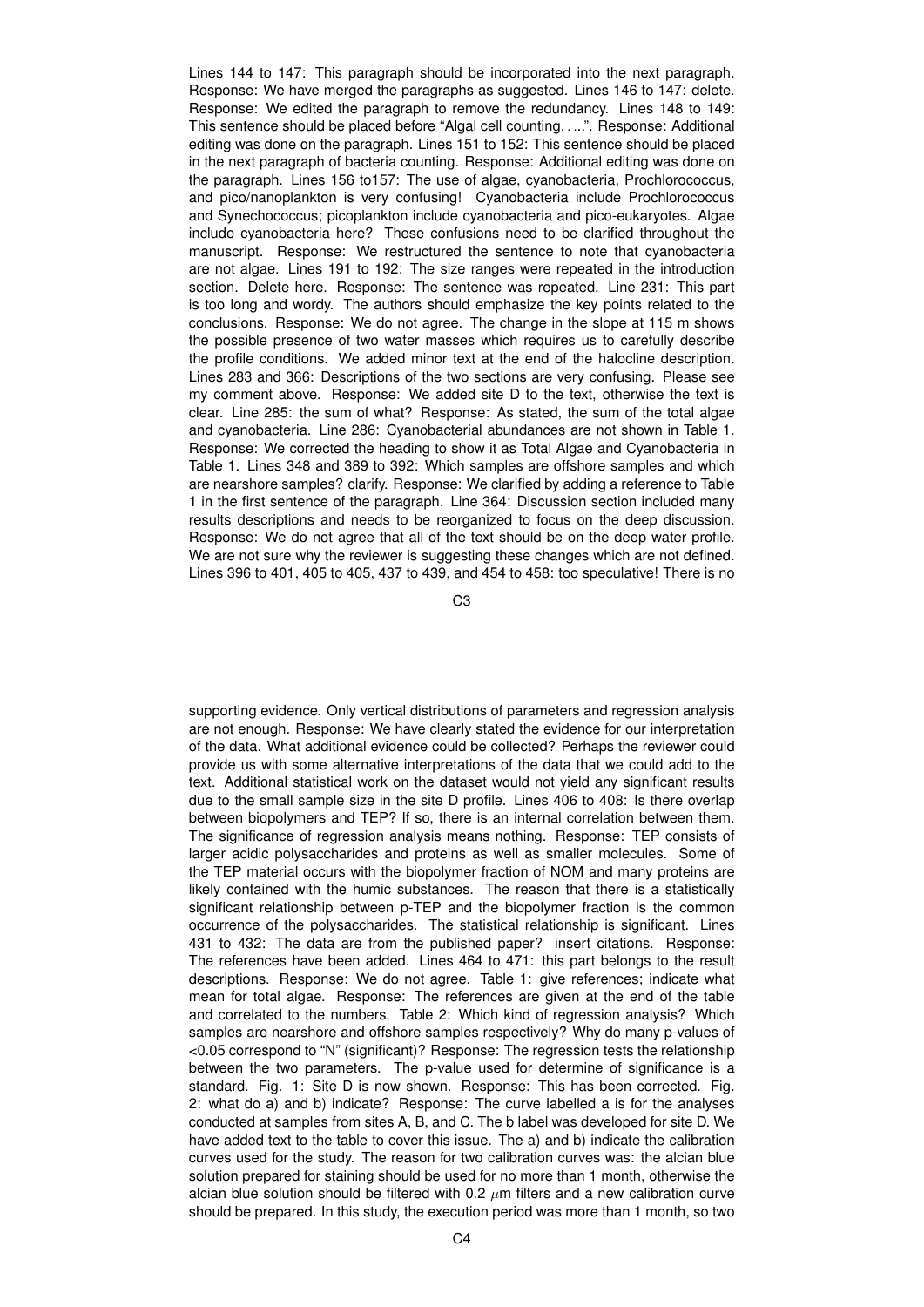Lines 144 to 147: This paragraph should be incorporated into the next paragraph. Response: We have merged the paragraphs as suggested. Lines 146 to 147: delete. Response: We edited the paragraph to remove the redundancy. Lines 148 to 149: This sentence should be placed before "Algal cell counting. . ...". Response: Additional editing was done on the paragraph. Lines 151 to 152: This sentence should be placed in the next paragraph of bacteria counting. Response: Additional editing was done on the paragraph. Lines 156 to157: The use of algae, cyanobacteria, Prochlorococcus, and pico/nanoplankton is very confusing! Cyanobacteria include Prochlorococcus and Synechococcus; picoplankton include cyanobacteria and pico-eukaryotes. Algae include cyanobacteria here? These confusions need to be clarified throughout the manuscript. Response: We restructured the sentence to note that cyanobacteria are not algae. Lines 191 to 192: The size ranges were repeated in the introduction section. Delete here. Response: The sentence was repeated. Line 231: This part is too long and wordy. The authors should emphasize the key points related to the conclusions. Response: We do not agree. The change in the slope at 115 m shows the possible presence of two water masses which requires us to carefully describe the profile conditions. We added minor text at the end of the halocline description. Lines 283 and 366: Descriptions of the two sections are very confusing. Please see my comment above. Response: We added site D to the text, otherwise the text is clear. Line 285: the sum of what? Response: As stated, the sum of the total algae and cyanobacteria. Line 286: Cyanobacterial abundances are not shown in Table 1. Response: We corrected the heading to show it as Total Algae and Cyanobacteria in Table 1. Lines 348 and 389 to 392: Which samples are offshore samples and which are nearshore samples? clarify. Response: We clarified by adding a reference to Table 1 in the first sentence of the paragraph. Line 364: Discussion section included many results descriptions and needs to be reorganized to focus on the deep discussion. Response: We do not agree that all of the text should be on the deep water profile. We are not sure why the reviewer is suggesting these changes which are not defined. Lines 396 to 401, 405 to 405, 437 to 439, and 454 to 458: too speculative! There is no

C3

supporting evidence. Only vertical distributions of parameters and regression analysis are not enough. Response: We have clearly stated the evidence for our interpretation of the data. What additional evidence could be collected? Perhaps the reviewer could provide us with some alternative interpretations of the data that we could add to the text. Additional statistical work on the dataset would not yield any significant results due to the small sample size in the site D profile. Lines 406 to 408: Is there overlap between biopolymers and TEP? If so, there is an internal correlation between them. The significance of regression analysis means nothing. Response: TEP consists of larger acidic polysaccharides and proteins as well as smaller molecules. Some of the TEP material occurs with the biopolymer fraction of NOM and many proteins are likely contained with the humic substances. The reason that there is a statistically significant relationship between p-TEP and the biopolymer fraction is the common occurrence of the polysaccharides. The statistical relationship is significant. Lines 431 to 432: The data are from the published paper? insert citations. Response: The references have been added. Lines 464 to 471: this part belongs to the result descriptions. Response: We do not agree. Table 1: give references; indicate what mean for total algae. Response: The references are given at the end of the table and correlated to the numbers. Table 2: Which kind of regression analysis? Which samples are nearshore and offshore samples respectively? Why do many p-values of <0.05 correspond to "N" (significant)? Response: The regression tests the relationship between the two parameters. The p-value used for determine of significance is a standard. Fig. 1: Site D is now shown. Response: This has been corrected. Fig. 2: what do a) and b) indicate? Response: The curve labelled a is for the analyses conducted at samples from sites A, B, and C. The b label was developed for site D. We have added text to the table to cover this issue. The a) and b) indicate the calibration curves used for the study. The reason for two calibration curves was: the alcian blue solution prepared for staining should be used for no more than 1 month, otherwise the alcian blue solution should be filtered with 0.2  $\mu$ m filters and a new calibration curve should be prepared. In this study, the execution period was more than 1 month, so two